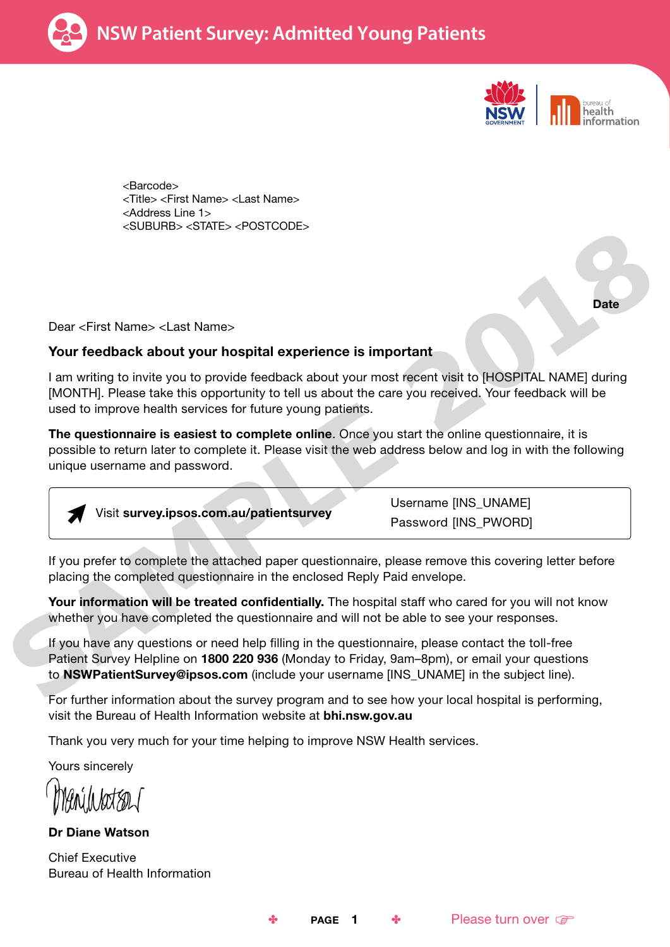



**Date** 

<Barcode> <Title> <First Name> <Last Name> <Address Line 1> <SUBURB> <STATE> <POSTCODE>

Dear <First Name> <Last Name>

### Your feedback about your hospital experience is important

I am writing to invite you to provide feedback about your most recent visit to [HOSPITAL NAME] during [MONTH]. Please take this opportunity to tell us about the care you received. Your feedback will be used to improve health services for future young patients.

The questionnaire is easiest to complete online. Once you start the online questionnaire, it is possible to return later to complete it. Please visit the web address below and log in with the following unique username and password.



If you prefer to complete the attached paper questionnaire, please remove this covering letter before placing the completed questionnaire in the enclosed Reply Paid envelope.

Your information will be treated confidentially. The hospital staff who cared for you will not know whether you have completed the questionnaire and will not be able to see your responses.

If you have any questions or need help filling in the questionnaire, please contact the toll-free Patient Survey Helpline on 1800 220 936 (Monday to Friday, 9am–8pm), or email your questions to **NSWPatientSurvey@ipsos.com** (include your username [INS\_UNAME] in the subject line).

For further information about the survey program and to see how your local hospital is performing, visit the Bureau of Health Information website at bhi.nsw.gov.au

Thank you very much for your time helping to improve NSW Health services.

Yours sincerely

Dr Diane Watson

Chief Executive Bureau of Health Information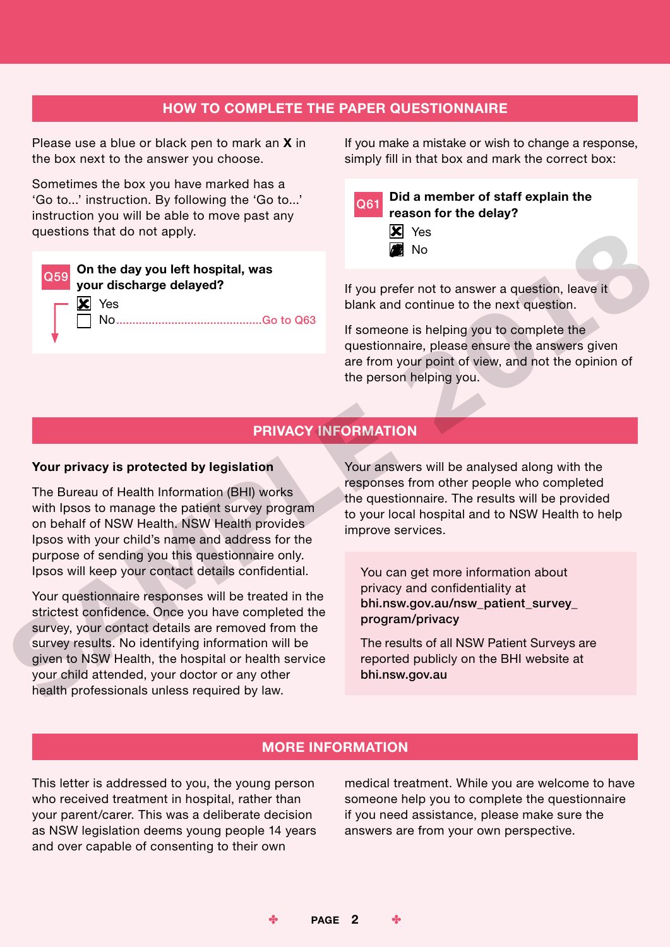## HOW TO COMPLETE THE PAPER QUESTIONNAIRE

Please use a blue or black pen to mark an **X** in the box next to the answer you choose.

Sometimes the box you have marked has a 'Go to...' instruction. By following the 'Go to...' instruction you will be able to move past any questions that do not apply.

 $\overline{\mathbf{x}}$  Yes

Q59 On the day you left hospital, was your discharge delayed?

No���������������������������������������������Go to Q63

If you make a mistake or wish to change a response, simply fill in that box and mark the correct box:

|  | Q61 Did a member of staff explain the |
|--|---------------------------------------|
|  | reason for the delay?                 |
|  | $\vert x \vert$ Yes                   |
|  | $\blacksquare$ No                     |

If you prefer not to answer a question, leave it blank and continue to the next question.

If someone is helping you to complete the questionnaire, please ensure the answers given are from your point of view, and not the opinion of the person helping you.

## PRIVACY INFORMATION

#### Your privacy is protected by legislation

The Bureau of Health Information (BHI) works with Ipsos to manage the patient survey program on behalf of NSW Health. NSW Health provides Ipsos with your child's name and address for the purpose of sending you this questionnaire only. Ipsos will keep your contact details confidential.

Your questionnaire responses will be treated in the strictest confidence. Once you have completed the survey, your contact details are removed from the survey results. No identifying information will be given to NSW Health, the hospital or health service your child attended, your doctor or any other health professionals unless required by law. SAMPLE 2018

Your answers will be analysed along with the responses from other people who completed the questionnaire. The results will be provided to your local hospital and to NSW Health to help improve services.

You can get more information about privacy and confidentiality at bhi.nsw.gov.au/nsw\_patient\_survey\_ program/privacy

The results of all NSW Patient Surveys are reported publicly on the BHI website at bhi.nsw.gov.au

## MORE INFORMATION

This letter is addressed to you, the young person who received treatment in hospital, rather than your parent/carer. This was a deliberate decision as NSW legislation deems young people 14 years and over capable of consenting to their own

medical treatment. While you are welcome to have someone help you to complete the questionnaire if you need assistance, please make sure the answers are from your own perspective.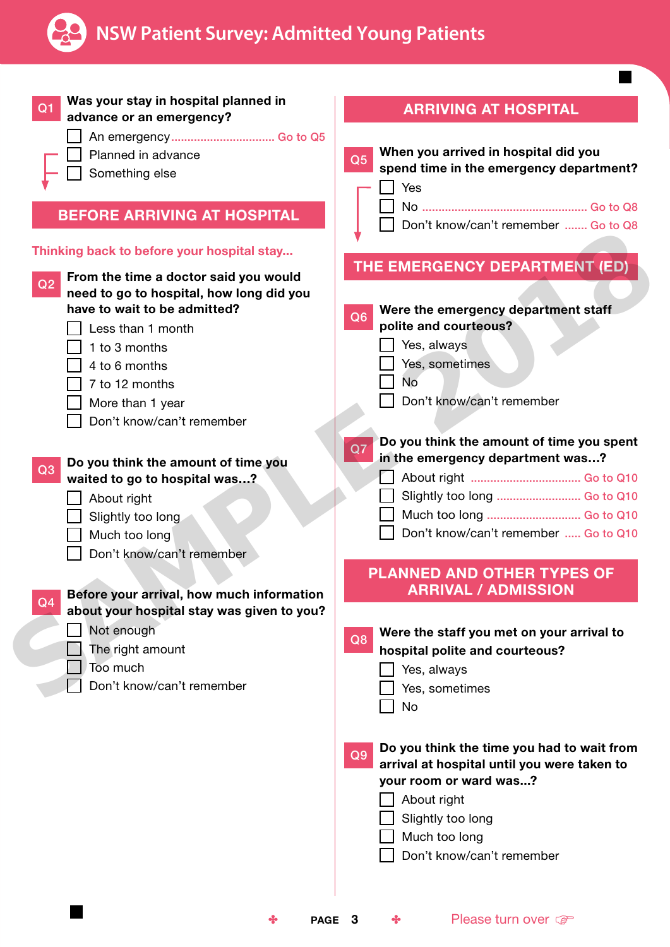

 $\blacksquare$ 

| Was your stay in hospital planned in<br>Q <sub>1</sub><br>advance or an emergency?      | <b>ARRIVING AT HOSPITAL</b>                                                                                                                          |
|-----------------------------------------------------------------------------------------|------------------------------------------------------------------------------------------------------------------------------------------------------|
| An emergency Go to Q5<br>Planned in advance<br>Something else                           | When you arrived in hospital did you<br>Q <sub>5</sub><br>spend time in the emergency department?                                                    |
| <b>BEFORE ARRIVING AT HOSPITAL</b>                                                      | Yes<br>Don't know/can't remember  Go to Q8                                                                                                           |
| Thinking back to before your hospital stay                                              | THE EMERGENCY DEPARTMENT (ED)                                                                                                                        |
| From the time a doctor said you would<br>Q2<br>need to go to hospital, how long did you |                                                                                                                                                      |
| have to wait to be admitted?<br>Less than 1 month                                       | Were the emergency department staff<br>Q <sub>6</sub><br>polite and courteous?                                                                       |
| 1 to 3 months                                                                           | Yes, always                                                                                                                                          |
| 4 to 6 months                                                                           | Yes, sometimes                                                                                                                                       |
| 7 to 12 months                                                                          | No                                                                                                                                                   |
| More than 1 year                                                                        | Don't know/can't remember                                                                                                                            |
| Don't know/can't remember                                                               |                                                                                                                                                      |
|                                                                                         | Do you think the amount of time you spent<br>Q7<br>in the emergency department was?                                                                  |
| Do you think the amount of time you<br>Q <sub>3</sub><br>waited to go to hospital was?  |                                                                                                                                                      |
| About right                                                                             | Slightly too long  Go to Q10                                                                                                                         |
| Slightly too long                                                                       | Much too long  Go to Q10                                                                                                                             |
| Much too long                                                                           | Don't know/can't remember  Go to Q10                                                                                                                 |
| Don't know/can't remember                                                               |                                                                                                                                                      |
| Before your arrival, how much information                                               | <b>PLANNED AND OTHER TYPES OF</b><br><b>ARRIVAL / ADMISSION</b>                                                                                      |
| Q <sub>4</sub><br>about your hospital stay was given to you?                            |                                                                                                                                                      |
| Not enough                                                                              | Were the staff you met on your arrival to                                                                                                            |
| The right amount                                                                        | Q8<br>hospital polite and courteous?                                                                                                                 |
| Too much                                                                                | Yes, always                                                                                                                                          |
| Don't know/can't remember                                                               | Yes, sometimes                                                                                                                                       |
|                                                                                         | No                                                                                                                                                   |
|                                                                                         | Do you think the time you had to wait from<br>Q <sub>9</sub><br>arrival at hospital until you were taken to<br>your room or ward was?<br>About right |
|                                                                                         | Slightly too long<br>Much too long                                                                                                                   |
|                                                                                         | Don't know/can't remember                                                                                                                            |
| PAGE 3<br>❖                                                                             | Please turn over<br>❖                                                                                                                                |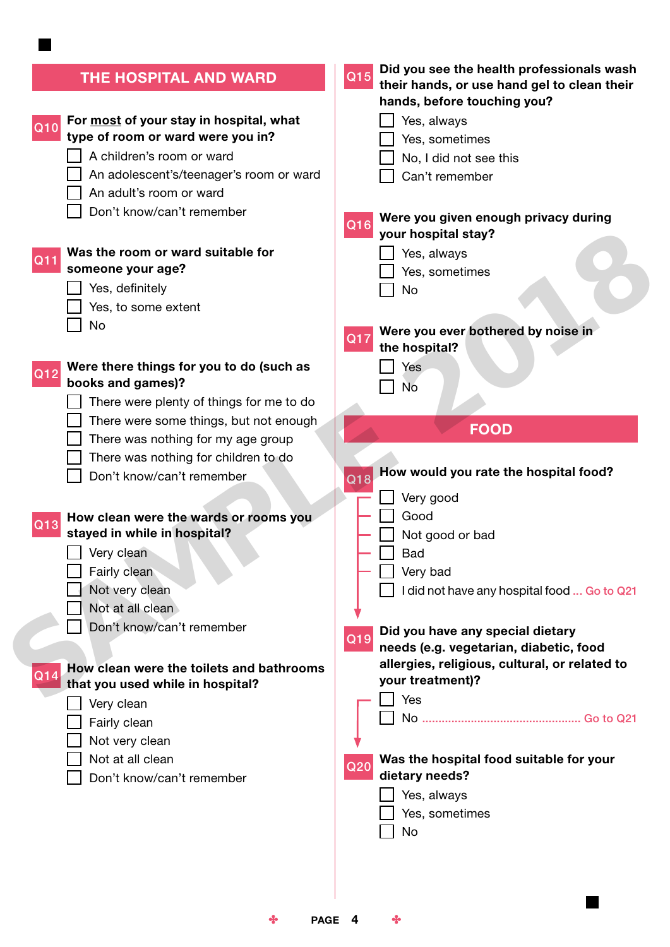| THE HOSPITAL AND WARD                                                                                                                                                                                                                                                                                                                                                                                                                                                                                                                         | Did you see the health professionals wash<br>Q15<br>their hands, or use hand gel to clean their<br>hands, before touching you?                                                                                                                                                                                                                                          |
|-----------------------------------------------------------------------------------------------------------------------------------------------------------------------------------------------------------------------------------------------------------------------------------------------------------------------------------------------------------------------------------------------------------------------------------------------------------------------------------------------------------------------------------------------|-------------------------------------------------------------------------------------------------------------------------------------------------------------------------------------------------------------------------------------------------------------------------------------------------------------------------------------------------------------------------|
| For most of your stay in hospital, what<br>Q10<br>type of room or ward were you in?<br>A children's room or ward<br>An adolescent's/teenager's room or ward<br>An adult's room or ward<br>Don't know/can't remember                                                                                                                                                                                                                                                                                                                           | Yes, always<br>Yes, sometimes<br>No, I did not see this<br>Can't remember<br>Were you given enough privacy during<br>Q16<br>your hospital stay?                                                                                                                                                                                                                         |
| Was the room or ward suitable for<br>Q11<br>someone your age?<br>Yes, definitely<br>Yes, to some extent<br>No                                                                                                                                                                                                                                                                                                                                                                                                                                 | Yes, always<br>Yes, sometimes<br>No<br>Were you ever bothered by noise in<br>Q17<br>the hospital?                                                                                                                                                                                                                                                                       |
| Were there things for you to do (such as<br>Q12<br>books and games)?<br>There were plenty of things for me to do<br>There were some things, but not enough<br>There was nothing for my age group<br>There was nothing for children to do<br>Don't know/can't remember<br>How clean were the wards or rooms you<br>Q13<br>stayed in while in hospital?<br>Very clean<br>Fairly clean<br>Not very clean<br>Not at all clean<br>Don't know/can't remember<br>How clean were the toilets and bathrooms<br>Q14<br>that you used while in hospital? | Yes<br><b>No</b><br><b>FOOD</b><br>How would you rate the hospital food?<br>Q18<br>Very good<br>Good<br>Not good or bad<br><b>Bad</b><br>Very bad<br>I did not have any hospital food  Go to Q21<br>Did you have any special dietary<br>$\overline{Q19}$<br>needs (e.g. vegetarian, diabetic, food<br>allergies, religious, cultural, or related to<br>your treatment)? |
| Very clean<br>Fairly clean<br>Not very clean<br>Not at all clean<br>Don't know/can't remember                                                                                                                                                                                                                                                                                                                                                                                                                                                 | Yes<br>Was the hospital food suitable for your<br>Q20<br>dietary needs?<br>Yes, always<br>Yes, sometimes<br>No                                                                                                                                                                                                                                                          |

**The Second Second** 

 $\bullet$  PAGE 4  $\bullet$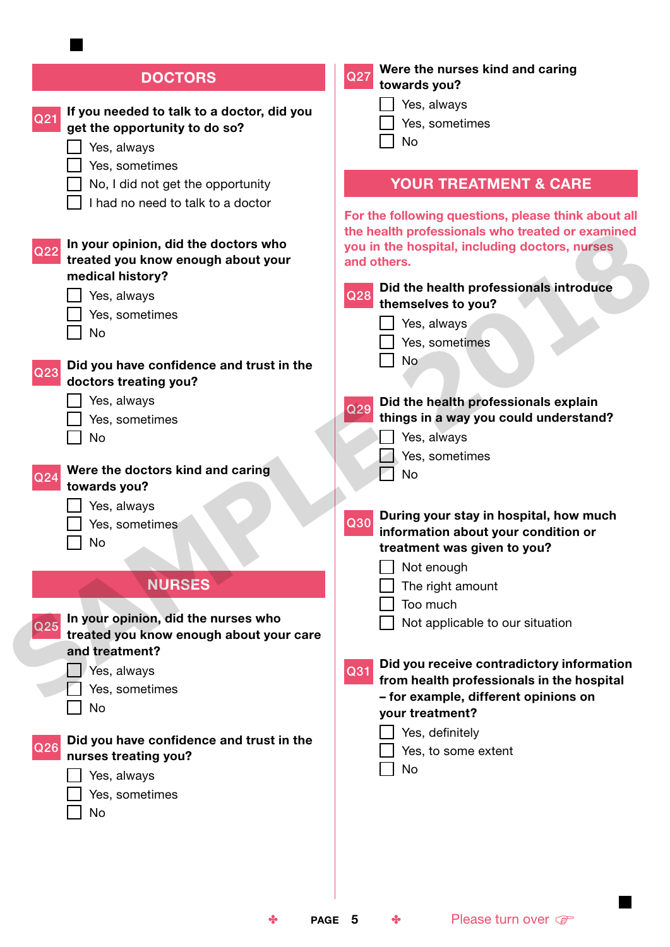| <b>DOCTORS</b>                                                                                | Were the nurses kind and caring<br>Q27<br>towards you?                            |
|-----------------------------------------------------------------------------------------------|-----------------------------------------------------------------------------------|
| If you needed to talk to a doctor, did you                                                    | Yes, always                                                                       |
| Q21<br>get the opportunity to do so?                                                          | Yes, sometimes                                                                    |
| Yes, always                                                                                   | <b>No</b>                                                                         |
| Yes, sometimes                                                                                |                                                                                   |
| No, I did not get the opportunity                                                             | <b>YOUR TREATMENT &amp; CARE</b>                                                  |
| I had no need to talk to a doctor                                                             |                                                                                   |
|                                                                                               | For the following questions, please think about all                               |
|                                                                                               | the health professionals who treated or examined                                  |
| In your opinion, did the doctors who<br>Q <sub>22</sub><br>treated you know enough about your | you in the hospital, including doctors, nurses<br>and others.                     |
| medical history?                                                                              |                                                                                   |
| Yes, always                                                                                   | Did the health professionals introduce<br>Q28                                     |
| Yes, sometimes                                                                                | themselves to you?                                                                |
| No                                                                                            | Yes, always                                                                       |
|                                                                                               | Yes, sometimes                                                                    |
| Did you have confidence and trust in the<br>Q23                                               | <b>No</b>                                                                         |
| doctors treating you?                                                                         |                                                                                   |
| Yes, always                                                                                   | Did the health professionals explain<br>Q29                                       |
| Yes, sometimes                                                                                | things in a way you could understand?                                             |
| No                                                                                            | Yes, always                                                                       |
|                                                                                               | Yes, sometimes                                                                    |
| Were the doctors kind and caring<br>Q <sub>24</sub><br>towards you?                           | <b>No</b>                                                                         |
| Yes, always                                                                                   |                                                                                   |
| Yes, sometimes                                                                                | During your stay in hospital, how much<br>Q30                                     |
| No                                                                                            | information about your condition or                                               |
|                                                                                               | treatment was given to you?                                                       |
|                                                                                               | Not enough                                                                        |
| <b>NURSES</b>                                                                                 | The right amount                                                                  |
| In your opinion, did the nurses who                                                           | Too much                                                                          |
| Q <sub>25</sub><br>treated you know enough about your care                                    | Not applicable to our situation                                                   |
| and treatment?                                                                                |                                                                                   |
| Yes, always                                                                                   | Did you receive contradictory information<br>Q31                                  |
| Yes, sometimes                                                                                | from health professionals in the hospital<br>- for example, different opinions on |
| No                                                                                            | your treatment?                                                                   |
|                                                                                               | Yes, definitely                                                                   |
| Did you have confidence and trust in the<br>Q26                                               | Yes, to some extent                                                               |
| nurses treating you?                                                                          | No                                                                                |
| Yes, always<br>Yes, sometimes                                                                 |                                                                                   |
| No                                                                                            |                                                                                   |
|                                                                                               |                                                                                   |
|                                                                                               |                                                                                   |
|                                                                                               |                                                                                   |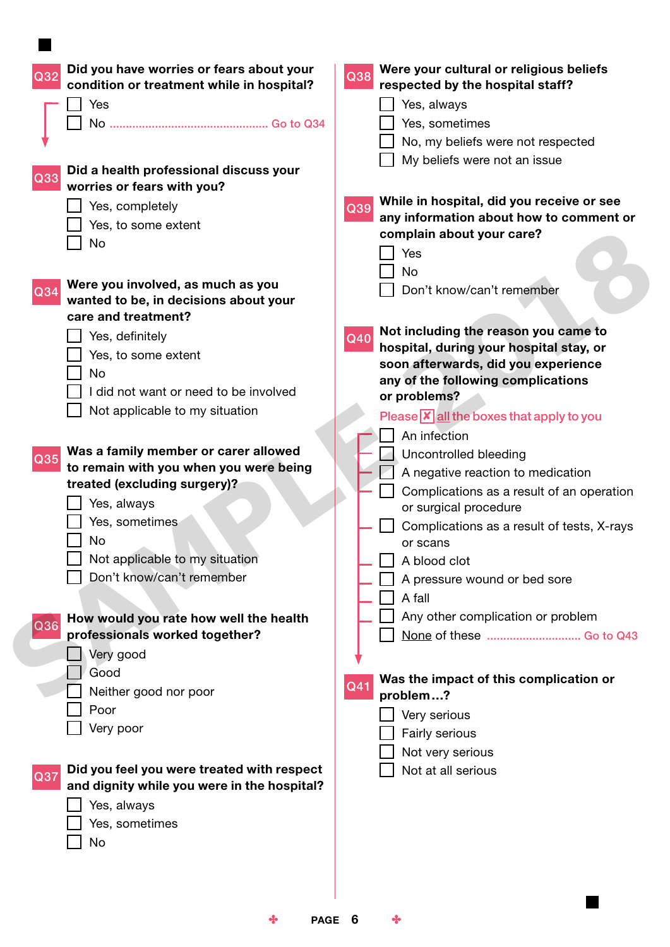| Did you have worries or fears about your<br>condition or treatment while in hospital? | Were your cultural or religious beliefs<br>Q38<br>respected by the hospital staff? |
|---------------------------------------------------------------------------------------|------------------------------------------------------------------------------------|
| Yes                                                                                   | Yes, always                                                                        |
|                                                                                       | Yes, sometimes                                                                     |
|                                                                                       | No, my beliefs were not respected                                                  |
| Did a health professional discuss your<br>Q33<br>worries or fears with you?           | My beliefs were not an issue                                                       |
|                                                                                       | While in hospital, did you receive or see                                          |
| Yes, completely                                                                       | Q39<br>any information about how to comment or                                     |
| Yes, to some extent                                                                   | complain about your care?                                                          |
| No                                                                                    | Yes                                                                                |
|                                                                                       | <b>No</b>                                                                          |
| Were you involved, as much as you<br>Q34                                              | Don't know/can't remember                                                          |
| wanted to be, in decisions about your                                                 |                                                                                    |
| care and treatment?                                                                   |                                                                                    |
| Yes, definitely                                                                       | Not including the reason you came to<br>Q40                                        |
| Yes, to some extent                                                                   | hospital, during your hospital stay, or<br>soon afterwards, did you experience     |
| No                                                                                    | any of the following complications                                                 |
| did not want or need to be involved                                                   | or problems?                                                                       |
| Not applicable to my situation                                                        | Please $\overline{x}$ all the boxes that apply to you                              |
|                                                                                       | An infection                                                                       |
| Was a family member or carer allowed                                                  | <b>Uncontrolled bleeding</b>                                                       |
| Q35<br>to remain with you when you were being                                         | A negative reaction to medication                                                  |
| treated (excluding surgery)?                                                          | Complications as a result of an operation                                          |
| Yes, always                                                                           | or surgical procedure                                                              |
| Yes, sometimes                                                                        | Complications as a result of tests, X-rays                                         |
| No                                                                                    | or scans                                                                           |
| Not applicable to my situation                                                        | A blood clot                                                                       |
| Don't know/can't remember                                                             | A pressure wound or bed sore                                                       |
|                                                                                       | A fall                                                                             |
| How would you rate how well the health                                                | Any other complication or problem                                                  |
| Q36<br>professionals worked together?                                                 | None of these  Go to Q43                                                           |
| Very good                                                                             |                                                                                    |
| Good                                                                                  | Was the impact of this complication or                                             |
| Neither good nor poor                                                                 | Q41<br>problem?                                                                    |
| Poor                                                                                  | Very serious                                                                       |
| Very poor                                                                             | Fairly serious                                                                     |
|                                                                                       | Not very serious                                                                   |
| Did you feel you were treated with respect                                            | Not at all serious                                                                 |
| Q37<br>and dignity while you were in the hospital?                                    |                                                                                    |
| Yes, always                                                                           |                                                                                    |
| Yes, sometimes                                                                        |                                                                                    |
| No                                                                                    |                                                                                    |
|                                                                                       |                                                                                    |
|                                                                                       |                                                                                    |
|                                                                                       |                                                                                    |
|                                                                                       |                                                                                    |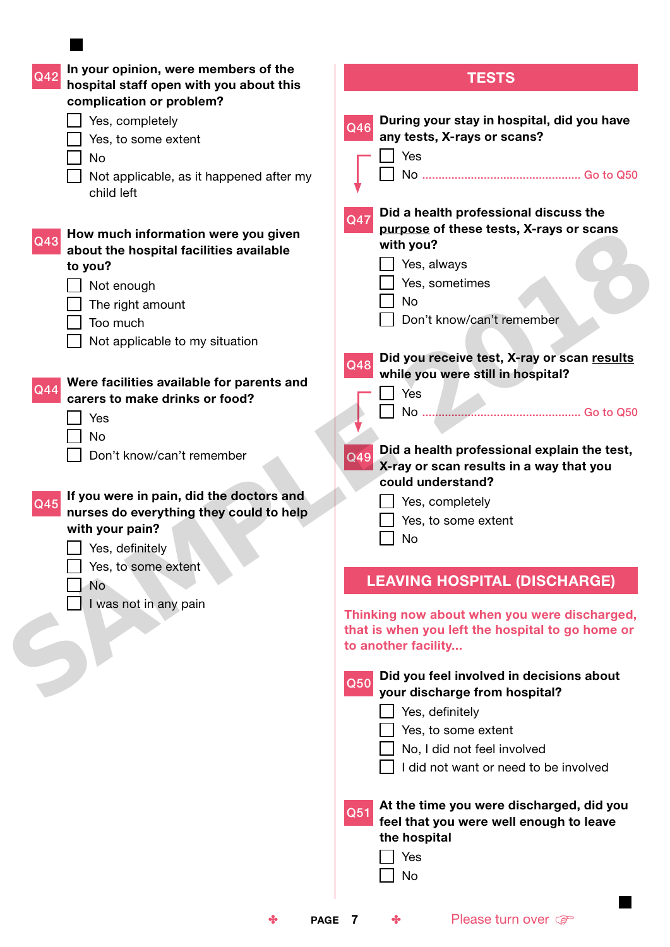| In your opinion, were members of the<br>Q42                                        | <b>TESTS</b>                                      |
|------------------------------------------------------------------------------------|---------------------------------------------------|
| hospital staff open with you about this                                            |                                                   |
| complication or problem?                                                           |                                                   |
| Yes, completely                                                                    | During your stay in hospital, did you have<br>Q46 |
| Yes, to some extent                                                                | any tests, X-rays or scans?                       |
| No                                                                                 | Yes                                               |
| Not applicable, as it happened after my                                            |                                                   |
| child left                                                                         |                                                   |
|                                                                                    | Did a health professional discuss the<br>Q47      |
| How much information were you given                                                | purpose of these tests, X-rays or scans           |
| Q43<br>about the hospital facilities available                                     | with you?                                         |
| to you?                                                                            | Yes, always                                       |
| Not enough                                                                         | Yes, sometimes                                    |
| The right amount                                                                   | No                                                |
| Too much                                                                           | Don't know/can't remember                         |
| Not applicable to my situation                                                     |                                                   |
|                                                                                    | Did you receive test, X-ray or scan results       |
|                                                                                    | Q48<br>while you were still in hospital?          |
| Were facilities available for parents and<br>Q44<br>carers to make drinks or food? | Yes                                               |
|                                                                                    |                                                   |
| Yes                                                                                |                                                   |
| No                                                                                 | Did a health professional explain the test,       |
| Don't know/can't remember                                                          | Q49<br>X-ray or scan results in a way that you    |
|                                                                                    | could understand?                                 |
| If you were in pain, did the doctors and<br>Q45                                    | Yes, completely                                   |
| nurses do everything they could to help                                            | Yes, to some extent                               |
| with your pain?                                                                    | No                                                |
| Yes, definitelv                                                                    |                                                   |
| Yes, to some extent                                                                |                                                   |
| No.                                                                                | <b>LEAVING HOSPITAL (DISCHARGE)</b>               |
| I was not in any pain                                                              | Thinking now about when you were discharged,      |
|                                                                                    | that is when you left the hospital to go home or  |
|                                                                                    | to another facility                               |
|                                                                                    |                                                   |
|                                                                                    | Did you feel involved in decisions about<br>Q50   |
|                                                                                    | your discharge from hospital?                     |
|                                                                                    | Yes, definitely                                   |
|                                                                                    | Yes, to some extent                               |
|                                                                                    | No, I did not feel involved                       |
|                                                                                    | I did not want or need to be involved             |
|                                                                                    |                                                   |
|                                                                                    | At the time you were discharged, did you<br>Q51   |
|                                                                                    | feel that you were well enough to leave           |
|                                                                                    | the hospital                                      |
|                                                                                    | Yes                                               |
|                                                                                    | No                                                |
|                                                                                    |                                                   |
| PAGE 7<br>❖                                                                        | Please turn over<br>❖                             |

 $\Box$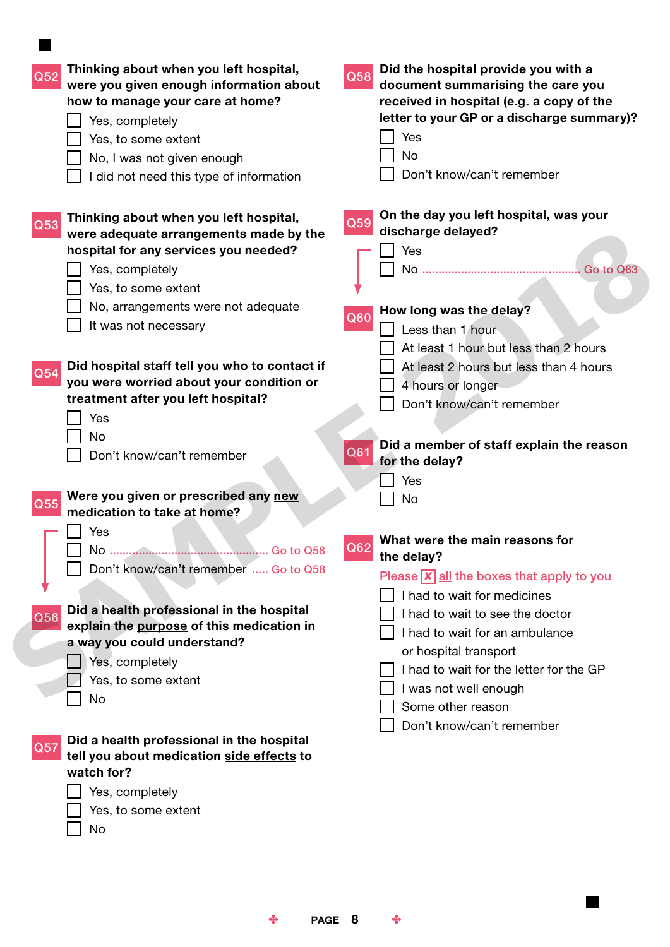| On the day you left hospital, was your<br>Thinking about when you left hospital,<br>Q59<br>Q53<br>discharge delayed?<br>were adequate arrangements made by the<br>hospital for any services you needed?<br>Yes<br>Yes, completely<br>Yes, to some extent<br>No, arrangements were not adequate<br>How long was the delay?<br>Q60<br>It was not necessary<br>Less than 1 hour<br>At least 1 hour but less than 2 hours<br>Did hospital staff tell you who to contact if<br>At least 2 hours but less than 4 hours<br>Q54<br>you were worried about your condition or<br>4 hours or longer<br>treatment after you left hospital?<br>Don't know/can't remember<br>Yes<br>No<br>Did a member of staff explain the reason<br>Q61<br>Don't know/can't remember<br>for the delay?<br>Yes<br>Were you given or prescribed any new<br><b>No</b><br>Q55<br>medication to take at home?<br>Yes<br>What were the main reasons for<br>Q <sub>62</sub><br>No.<br>Go to Q58<br>the delay?<br>Don't know/can't remember  Go to Q58<br>Please $\overline{x}$ all the boxes that apply to you<br>I had to wait for medicines<br>Did a health professional in the hospital<br>I had to wait to see the doctor<br>Q56<br>explain the purpose of this medication in<br>I had to wait for an ambulance<br>a way you could understand?<br>or hospital transport<br>Yes, completely<br>I had to wait for the letter for the GP<br>Yes, to some extent<br>I was not well enough<br>No<br>Some other reason<br>Don't know/can't remember<br>Did a health professional in the hospital<br>Q57<br>tell you about medication side effects to<br>watch for?<br>Yes, completely<br>Yes, to some extent<br>No | Thinking about when you left hospital,<br>Q52<br>were you given enough information about<br>how to manage your care at home?<br>Yes, completely<br>Yes, to some extent<br>No, I was not given enough<br>I did not need this type of information | Did the hospital provide you with a<br>Q58<br>document summarising the care you<br>received in hospital (e.g. a copy of the<br>letter to your GP or a discharge summary)?<br>Yes<br><b>No</b><br>Don't know/can't remember |
|-------------------------------------------------------------------------------------------------------------------------------------------------------------------------------------------------------------------------------------------------------------------------------------------------------------------------------------------------------------------------------------------------------------------------------------------------------------------------------------------------------------------------------------------------------------------------------------------------------------------------------------------------------------------------------------------------------------------------------------------------------------------------------------------------------------------------------------------------------------------------------------------------------------------------------------------------------------------------------------------------------------------------------------------------------------------------------------------------------------------------------------------------------------------------------------------------------------------------------------------------------------------------------------------------------------------------------------------------------------------------------------------------------------------------------------------------------------------------------------------------------------------------------------------------------------------------------------------------------------------------------------------------------------------------------|-------------------------------------------------------------------------------------------------------------------------------------------------------------------------------------------------------------------------------------------------|----------------------------------------------------------------------------------------------------------------------------------------------------------------------------------------------------------------------------|
|                                                                                                                                                                                                                                                                                                                                                                                                                                                                                                                                                                                                                                                                                                                                                                                                                                                                                                                                                                                                                                                                                                                                                                                                                                                                                                                                                                                                                                                                                                                                                                                                                                                                               |                                                                                                                                                                                                                                                 | . Go to Q63                                                                                                                                                                                                                |
|                                                                                                                                                                                                                                                                                                                                                                                                                                                                                                                                                                                                                                                                                                                                                                                                                                                                                                                                                                                                                                                                                                                                                                                                                                                                                                                                                                                                                                                                                                                                                                                                                                                                               |                                                                                                                                                                                                                                                 |                                                                                                                                                                                                                            |
|                                                                                                                                                                                                                                                                                                                                                                                                                                                                                                                                                                                                                                                                                                                                                                                                                                                                                                                                                                                                                                                                                                                                                                                                                                                                                                                                                                                                                                                                                                                                                                                                                                                                               |                                                                                                                                                                                                                                                 |                                                                                                                                                                                                                            |
|                                                                                                                                                                                                                                                                                                                                                                                                                                                                                                                                                                                                                                                                                                                                                                                                                                                                                                                                                                                                                                                                                                                                                                                                                                                                                                                                                                                                                                                                                                                                                                                                                                                                               |                                                                                                                                                                                                                                                 |                                                                                                                                                                                                                            |

**Contract** 

 $\div$  PAGE 8  $\div$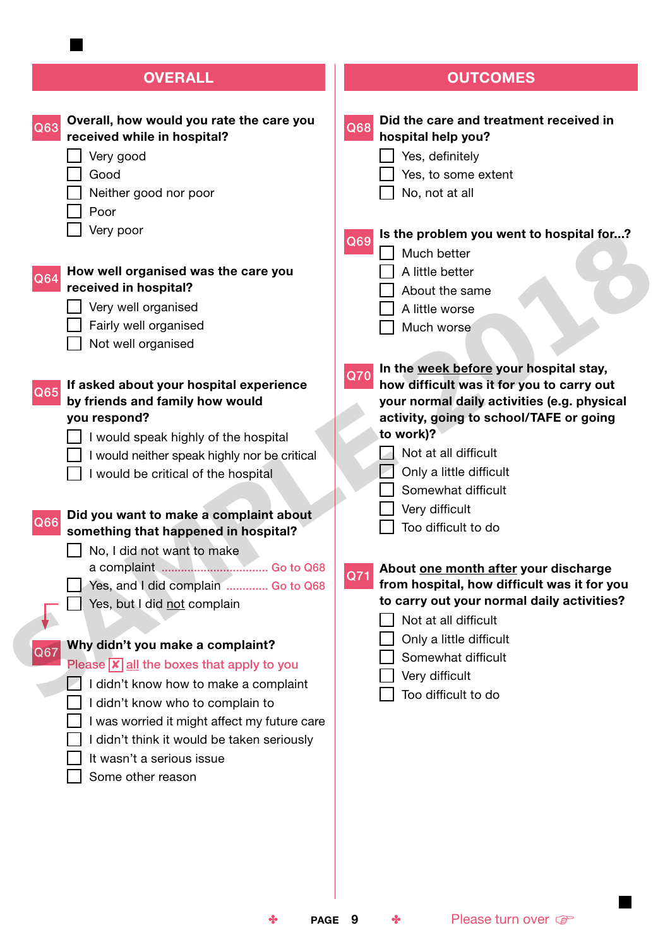# **OVERALL**

| Overall, how would you rate the care you                     | Did the care and treatment received in           |
|--------------------------------------------------------------|--------------------------------------------------|
| Q63<br>received while in hospital?                           | Q68<br>hospital help you?                        |
| Very good                                                    | Yes, definitely                                  |
| Good                                                         | Yes, to some extent                              |
| Neither good nor poor                                        | No, not at all                                   |
| Poor                                                         |                                                  |
| Very poor                                                    | Is the problem you went to hospital for?         |
|                                                              | Q69<br>Much better                               |
| How well organised was the care you<br>Q64                   | A little better                                  |
| received in hospital?                                        | About the same                                   |
| Very well organised                                          | A little worse                                   |
| Fairly well organised                                        | Much worse                                       |
| Not well organised                                           |                                                  |
|                                                              | In the week before your hospital stay,           |
| If asked about your hospital experience                      | Q70<br>how difficult was it for you to carry out |
| Q65<br>by friends and family how would                       | your normal daily activities (e.g. physical      |
| you respond?                                                 | activity, going to school/TAFE or going          |
| I would speak highly of the hospital                         | to work)?                                        |
| I would neither speak highly nor be critical                 | Not at all difficult                             |
| I would be critical of the hospital                          | Only a little difficult                          |
|                                                              | Somewhat difficult                               |
| Did you want to make a complaint about                       | Very difficult                                   |
| Q66<br>something that happened in hospital?                  | Too difficult to do                              |
| No, I did not want to make                                   |                                                  |
|                                                              | About one month after your discharge<br>Q71      |
| Yes, and I did complain  Go to Q68                           | from hospital, how difficult was it for you      |
| Yes, but I did not complain                                  | to carry out your normal daily activities?       |
|                                                              | Not at all difficult                             |
| Why didn't you make a complaint?                             | Only a little difficult                          |
| Q67<br>Please $\overline{x}$ all the boxes that apply to you | Somewhat difficult                               |
| I didn't know how to make a complaint                        | Very difficult                                   |
| I didn't know who to complain to                             | Too difficult to do                              |
| I was worried it might affect my future care                 |                                                  |
| I didn't think it would be taken seriously                   |                                                  |
| It wasn't a serious issue                                    |                                                  |
| Some other reason                                            |                                                  |
|                                                              |                                                  |
|                                                              |                                                  |
|                                                              |                                                  |
|                                                              |                                                  |

**OUTCOMES**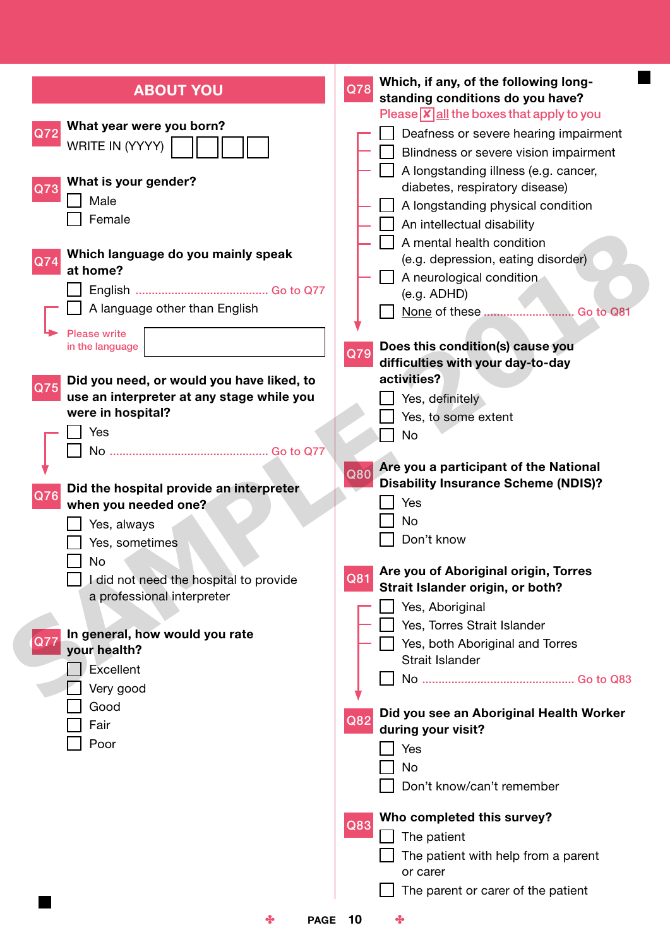| <b>ABOUT YOU</b>                                                                                                                                                                      | Which, if any, of the following long-<br>Q78<br>standing conditions do you have?                                                                                                                                                                                                                                                                                                         |
|---------------------------------------------------------------------------------------------------------------------------------------------------------------------------------------|------------------------------------------------------------------------------------------------------------------------------------------------------------------------------------------------------------------------------------------------------------------------------------------------------------------------------------------------------------------------------------------|
| What year were you born?<br>Q72<br>WRITE IN (YYYY)<br>What is your gender?<br>Q73<br>Male<br>Female<br>Which language do you mainly speak<br>$\overline{Q74}$<br>at home?             | Please $\sqrt{\mathbf{x}}$ all the boxes that apply to you<br>Deafness or severe hearing impairment<br>Blindness or severe vision impairment<br>A longstanding illness (e.g. cancer,<br>diabetes, respiratory disease)<br>A longstanding physical condition<br>An intellectual disability<br>A mental health condition<br>(e.g. depression, eating disorder)<br>A neurological condition |
| A language other than English<br><b>Please write</b><br>in the language                                                                                                               | (e.g. ADHD)<br>None of these  Go to Q81<br>Does this condition(s) cause you<br>Q79<br>difficulties with your day-to-day                                                                                                                                                                                                                                                                  |
| Did you need, or would you have liked, to<br>Q75<br>use an interpreter at any stage while you<br>were in hospital?<br>Yes                                                             | activities?<br>Yes, definitely<br>Yes, to some extent<br>No<br>Are you a participant of the National                                                                                                                                                                                                                                                                                     |
| Did the hospital provide an interpreter<br>Q76<br>when you needed one?<br>Yes, always<br>Yes, sometimes<br>No<br>I did not need the hospital to provide<br>a professional interpreter | Q80<br><b>Disability Insurance Scheme (NDIS)?</b><br>Yes<br>No<br>Don't know<br>Are you of Aboriginal origin, Torres<br>Q81<br>Strait Islander origin, or both?<br>Yes, Aboriginal<br>Yes, Torres Strait Islander                                                                                                                                                                        |
| In general, how would you rate<br>Q77<br>your health?<br><b>Excellent</b><br>Very good<br>Good<br>Fair<br>Poor                                                                        | Yes, both Aboriginal and Torres<br><b>Strait Islander</b><br>Did you see an Aboriginal Health Worker<br>Q82<br>during your visit?<br>Yes<br>No<br>Don't know/can't remember                                                                                                                                                                                                              |
| ❖<br><b>PAGE</b>                                                                                                                                                                      | Who completed this survey?<br>Q83<br>The patient<br>The patient with help from a parent<br>or carer<br>The parent or carer of the patient<br>10<br>❖                                                                                                                                                                                                                                     |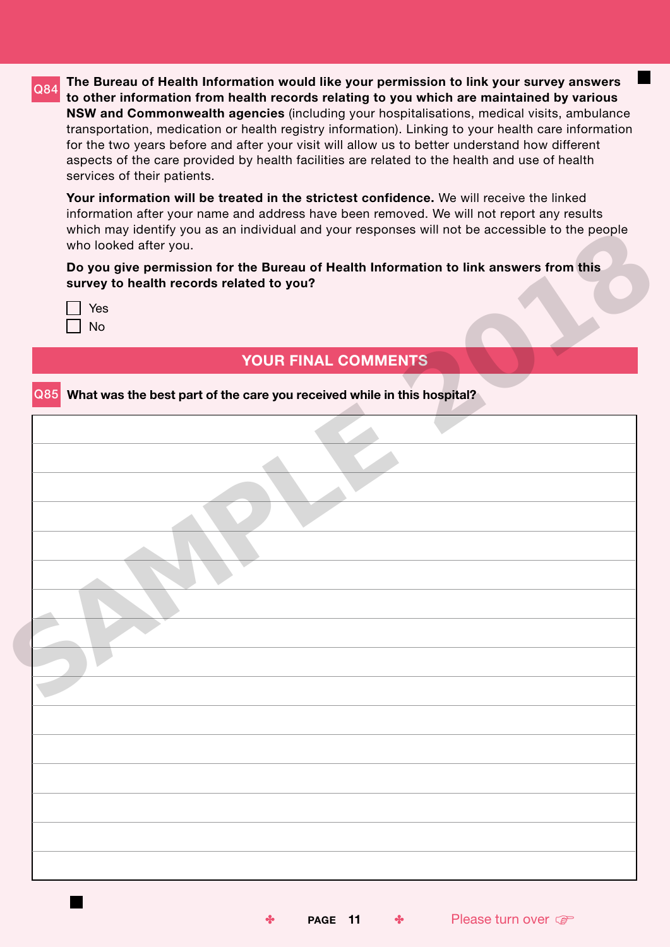**Q84** The Bureau of Health Information would like your permission to link your survey answers to other information from health records relating to you which are maintained by various NSW and Commonwealth agencies (including your hospitalisations, medical visits, ambulance transportation, medication or health registry information). Linking to your health care information for the two years before and after your visit will allow us to better understand how different aspects of the care provided by health facilities are related to the health and use of health services of their patients.

Your information will be treated in the strictest confidence. We will receive the linked information after your name and address have been removed. We will not report any results which may identify you as an individual and your responses will not be accessible to the people who looked after you.

| Yes |
|-----|
| Nο  |

| who looked after you.        |                                                                             |                                                                                       |
|------------------------------|-----------------------------------------------------------------------------|---------------------------------------------------------------------------------------|
|                              |                                                                             | Do you give permission for the Bureau of Health Information to link answers from this |
|                              | survey to health records related to you?                                    |                                                                                       |
| Yes                          |                                                                             |                                                                                       |
| $\operatorname{\mathsf{No}}$ |                                                                             |                                                                                       |
|                              |                                                                             |                                                                                       |
|                              | YOUR FINAL COMMENTS                                                         |                                                                                       |
|                              | Q85 What was the best part of the care you received while in this hospital? |                                                                                       |
|                              |                                                                             |                                                                                       |
|                              |                                                                             |                                                                                       |
|                              |                                                                             |                                                                                       |
|                              |                                                                             |                                                                                       |
|                              |                                                                             |                                                                                       |
|                              |                                                                             |                                                                                       |
|                              |                                                                             |                                                                                       |
|                              |                                                                             |                                                                                       |
|                              |                                                                             |                                                                                       |
|                              |                                                                             |                                                                                       |
|                              |                                                                             |                                                                                       |
|                              |                                                                             |                                                                                       |
|                              |                                                                             |                                                                                       |
|                              |                                                                             |                                                                                       |
|                              |                                                                             |                                                                                       |
|                              |                                                                             |                                                                                       |
|                              |                                                                             |                                                                                       |
|                              |                                                                             |                                                                                       |
|                              |                                                                             |                                                                                       |
|                              |                                                                             |                                                                                       |
|                              |                                                                             |                                                                                       |
|                              |                                                                             |                                                                                       |
|                              |                                                                             |                                                                                       |
|                              |                                                                             |                                                                                       |